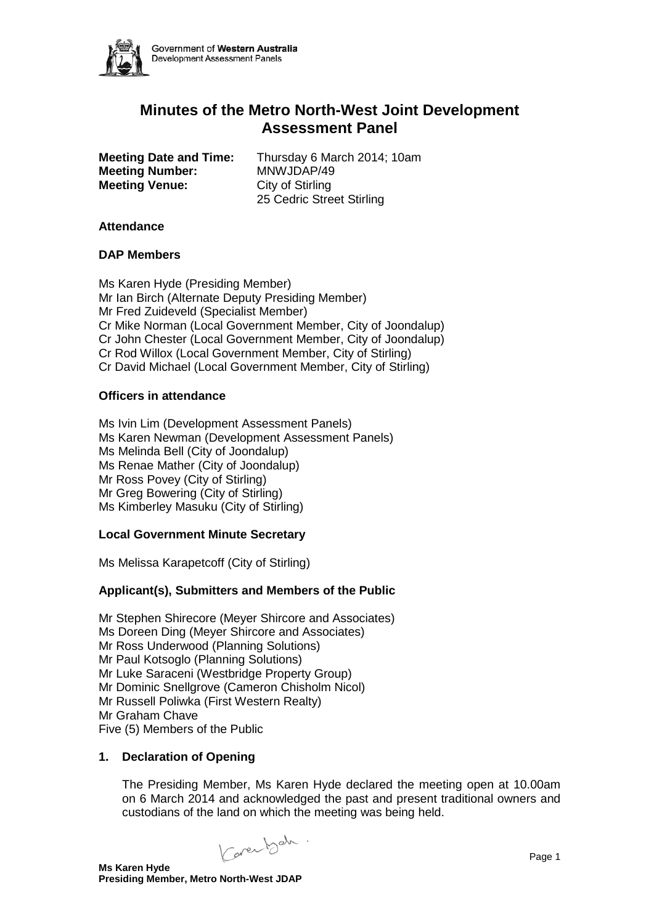

# **Minutes of the Metro North-West Joint Development Assessment Panel**

**Meeting Number:** MNWJDAP/49<br> **Meeting Venue:** City of Stirling **Meeting Venue:** 

**Meeting Date and Time:** Thursday 6 March 2014; 10am<br>**Meeting Number:** MNWJDAP/49 25 Cedric Street Stirling

## **Attendance**

## **DAP Members**

Ms Karen Hyde (Presiding Member) Mr Ian Birch (Alternate Deputy Presiding Member) Mr Fred Zuideveld (Specialist Member) Cr Mike Norman (Local Government Member, City of Joondalup) Cr John Chester (Local Government Member, City of Joondalup) Cr Rod Willox (Local Government Member, City of Stirling) Cr David Michael (Local Government Member, City of Stirling)

## **Officers in attendance**

Ms Ivin Lim (Development Assessment Panels) Ms Karen Newman (Development Assessment Panels) Ms Melinda Bell (City of Joondalup) Ms Renae Mather (City of Joondalup) Mr Ross Povey (City of Stirling) Mr Greg Bowering (City of Stirling) Ms Kimberley Masuku (City of Stirling)

## **Local Government Minute Secretary**

Ms Melissa Karapetcoff (City of Stirling)

## **Applicant(s), Submitters and Members of the Public**

Mr Stephen Shirecore (Meyer Shircore and Associates) Ms Doreen Ding (Meyer Shircore and Associates) Mr Ross Underwood (Planning Solutions) Mr Paul Kotsoglo (Planning Solutions) Mr Luke Saraceni (Westbridge Property Group) Mr Dominic Snellgrove (Cameron Chisholm Nicol) Mr Russell Poliwka (First Western Realty) Mr Graham Chave Five (5) Members of the Public

## **1. Declaration of Opening**

The Presiding Member, Ms Karen Hyde declared the meeting open at 10.00am on 6 March 2014 and acknowledged the past and present traditional owners and custodians of the land on which the meeting was being held.

Karen b<sup>ah</sup> · Page 1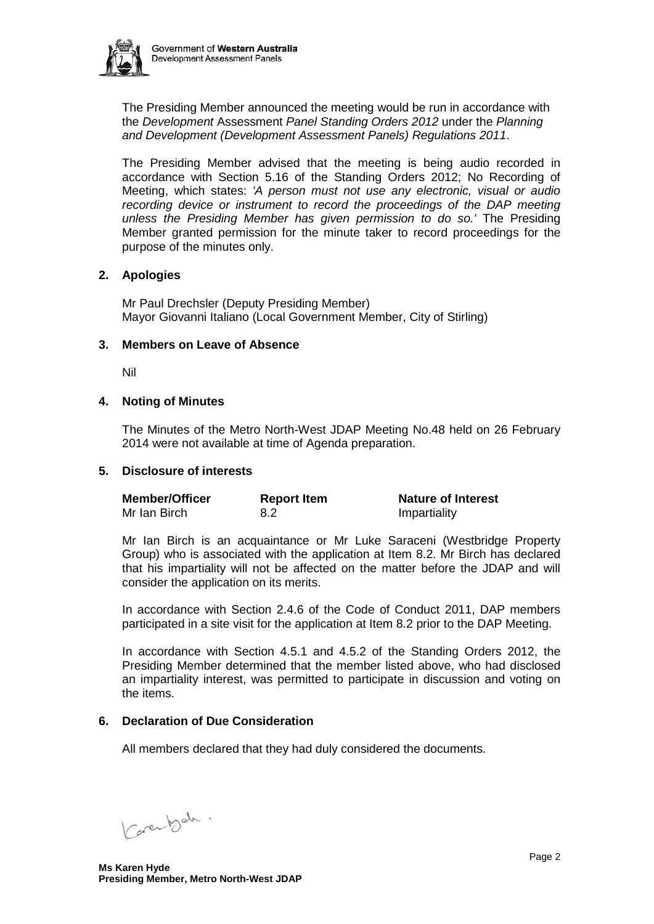

The Presiding Member announced the meeting would be run in accordance with the *Development* Assessment *Panel Standing Orders 2012* under the *Planning and Development (Development Assessment Panels) Regulations 2011*.

The Presiding Member advised that the meeting is being audio recorded in accordance with Section 5.16 of the Standing Orders 2012; No Recording of Meeting, which states: *'A person must not use any electronic, visual or audio recording device or instrument to record the proceedings of the DAP meeting unless the Presiding Member has given permission to do so.'* The Presiding Member granted permission for the minute taker to record proceedings for the purpose of the minutes only.

## **2. Apologies**

Mr Paul Drechsler (Deputy Presiding Member) Mayor Giovanni Italiano (Local Government Member, City of Stirling)

## **3. Members on Leave of Absence**

Nil

## **4. Noting of Minutes**

The Minutes of the Metro North-West JDAP Meeting No.48 held on 26 February 2014 were not available at time of Agenda preparation.

## **5. Disclosure of interests**

| <b>Member/Officer</b> | <b>Report Item</b> | <b>Nature of Interest</b> |
|-----------------------|--------------------|---------------------------|
| Mr Ian Birch          | 8.2                | Impartiality              |

Mr Ian Birch is an acquaintance or Mr Luke Saraceni (Westbridge Property Group) who is associated with the application at Item 8.2. Mr Birch has declared that his impartiality will not be affected on the matter before the JDAP and will consider the application on its merits.

In accordance with Section 2.4.6 of the Code of Conduct 2011, DAP members participated in a site visit for the application at Item 8.2 prior to the DAP Meeting.

In accordance with Section 4.5.1 and 4.5.2 of the Standing Orders 2012, the Presiding Member determined that the member listed above, who had disclosed an impartiality interest, was permitted to participate in discussion and voting on the items.

## **6. Declaration of Due Consideration**

All members declared that they had duly considered the documents.

Carentsch.

**Ms Karen Hyde Presiding Member, Metro North-West JDAP**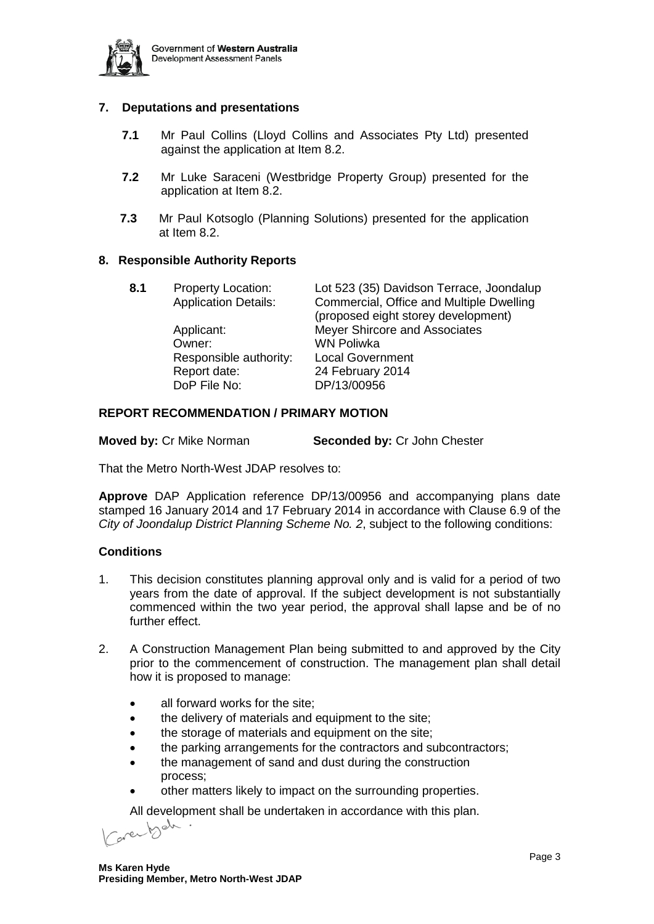

## **7. Deputations and presentations**

- **7.1** Mr Paul Collins (Lloyd Collins and Associates Pty Ltd) presented against the application at Item 8.2.
- **7.2** Mr Luke Saraceni (Westbridge Property Group) presented for the application at Item 8.2.
- **7.3** Mr Paul Kotsoglo (Planning Solutions) presented for the application at Item 8.2.

## **8. Responsible Authority Reports**

| Lot 523 (35) Davidson Terrace, Joondalup<br>Commercial, Office and Multiple Dwelling<br>(proposed eight storey development) |
|-----------------------------------------------------------------------------------------------------------------------------|
| <b>Meyer Shircore and Associates</b>                                                                                        |
|                                                                                                                             |
|                                                                                                                             |
|                                                                                                                             |
|                                                                                                                             |
|                                                                                                                             |

## **REPORT RECOMMENDATION / PRIMARY MOTION**

**Moved by:** Cr Mike Norman **Seconded by:** Cr John Chester

That the Metro North-West JDAP resolves to:

**Approve** DAP Application reference DP/13/00956 and accompanying plans date stamped 16 January 2014 and 17 February 2014 in accordance with Clause 6.9 of the *City of Joondalup District Planning Scheme No. 2*, subject to the following conditions:

#### **Conditions**

- 1. This decision constitutes planning approval only and is valid for a period of two years from the date of approval. If the subject development is not substantially commenced within the two year period, the approval shall lapse and be of no further effect.
- 2. A Construction Management Plan being submitted to and approved by the City prior to the commencement of construction. The management plan shall detail how it is proposed to manage:
	- all forward works for the site;
	- the delivery of materials and equipment to the site:
	- the storage of materials and equipment on the site;
	- the parking arrangements for the contractors and subcontractors;
	- the management of sand and dust during the construction process;
	- other matters likely to impact on the surrounding properties.

All development shall be undertaken in accordance with this plan.<br> $\text{Cov}$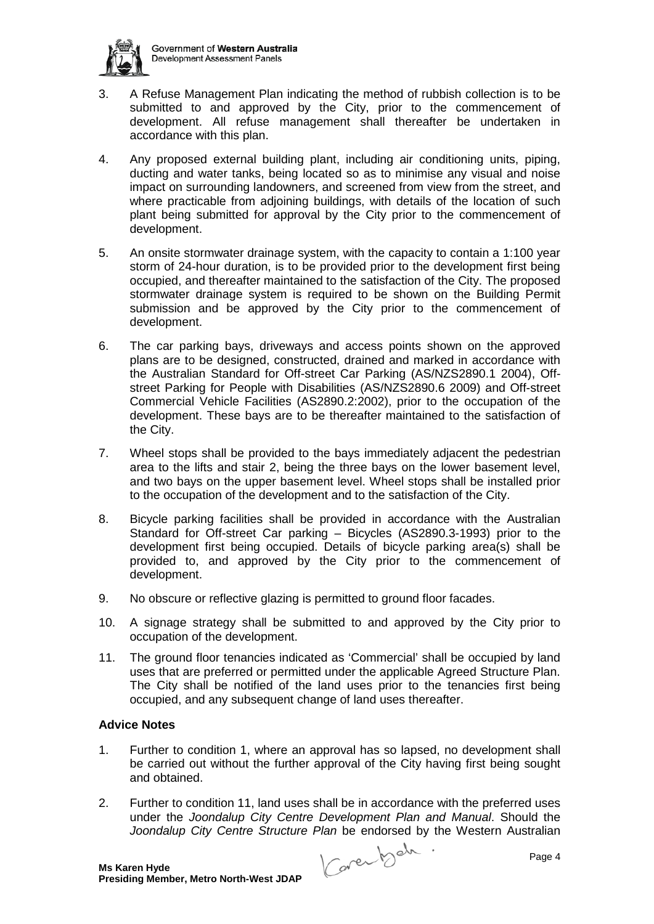

- 3. A Refuse Management Plan indicating the method of rubbish collection is to be submitted to and approved by the City, prior to the commencement of development. All refuse management shall thereafter be undertaken in accordance with this plan.
- 4. Any proposed external building plant, including air conditioning units, piping, ducting and water tanks, being located so as to minimise any visual and noise impact on surrounding landowners, and screened from view from the street, and where practicable from adjoining buildings, with details of the location of such plant being submitted for approval by the City prior to the commencement of development.
- 5. An onsite stormwater drainage system, with the capacity to contain a 1:100 year storm of 24-hour duration, is to be provided prior to the development first being occupied, and thereafter maintained to the satisfaction of the City. The proposed stormwater drainage system is required to be shown on the Building Permit submission and be approved by the City prior to the commencement of development.
- 6. The car parking bays, driveways and access points shown on the approved plans are to be designed, constructed, drained and marked in accordance with the Australian Standard for Off-street Car Parking (AS/NZS2890.1 2004), Offstreet Parking for People with Disabilities (AS/NZS2890.6 2009) and Off-street Commercial Vehicle Facilities (AS2890.2:2002), prior to the occupation of the development. These bays are to be thereafter maintained to the satisfaction of the City.
- 7. Wheel stops shall be provided to the bays immediately adjacent the pedestrian area to the lifts and stair 2, being the three bays on the lower basement level, and two bays on the upper basement level. Wheel stops shall be installed prior to the occupation of the development and to the satisfaction of the City.
- 8. Bicycle parking facilities shall be provided in accordance with the Australian Standard for Off-street Car parking – Bicycles (AS2890.3-1993) prior to the development first being occupied. Details of bicycle parking area(s) shall be provided to, and approved by the City prior to the commencement of development.
- 9. No obscure or reflective glazing is permitted to ground floor facades.
- 10. A signage strategy shall be submitted to and approved by the City prior to occupation of the development.
- 11. The ground floor tenancies indicated as 'Commercial' shall be occupied by land uses that are preferred or permitted under the applicable Agreed Structure Plan. The City shall be notified of the land uses prior to the tenancies first being occupied, and any subsequent change of land uses thereafter.

## **Advice Notes**

- 1. Further to condition 1, where an approval has so lapsed, no development shall be carried out without the further approval of the City having first being sought and obtained.
- 2. Further to condition 11, land uses shall be in accordance with the preferred uses under the *Joondalup City Centre Development Plan and Manual*. Should the *Joondalup City Centre Structure Plan* be endorsed by the Western Australian

Caren beh . Page 4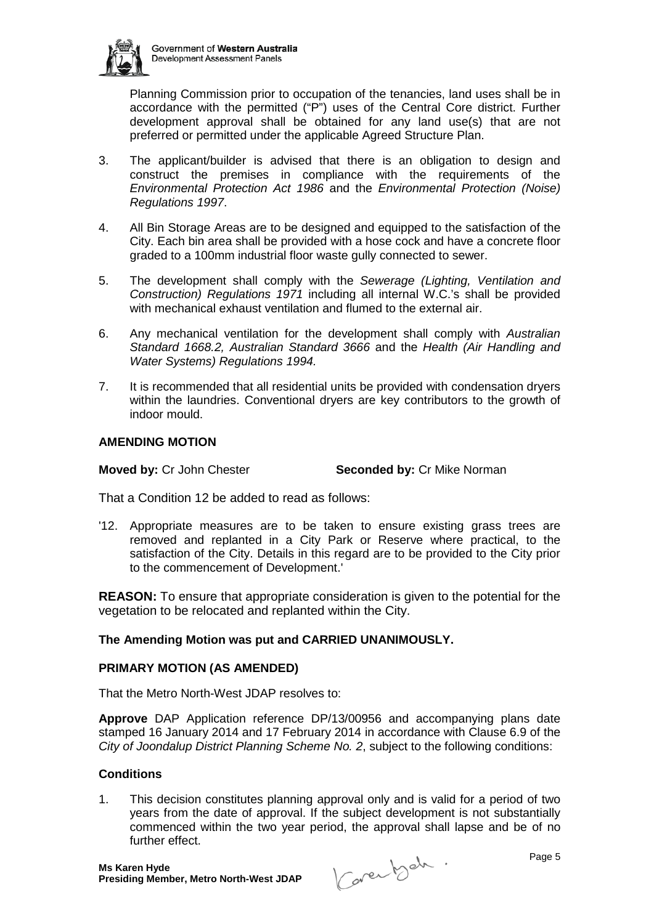

Planning Commission prior to occupation of the tenancies, land uses shall be in accordance with the permitted ("P") uses of the Central Core district. Further development approval shall be obtained for any land use(s) that are not preferred or permitted under the applicable Agreed Structure Plan.

- 3. The applicant/builder is advised that there is an obligation to design and construct the premises in compliance with the requirements of the *Environmental Protection Act 1986* and the *Environmental Protection (Noise) Regulations 1997*.
- 4. All Bin Storage Areas are to be designed and equipped to the satisfaction of the City. Each bin area shall be provided with a hose cock and have a concrete floor graded to a 100mm industrial floor waste gully connected to sewer.
- 5. The development shall comply with the *Sewerage (Lighting, Ventilation and Construction) Regulations 1971* including all internal W.C.'s shall be provided with mechanical exhaust ventilation and flumed to the external air.
- 6. Any mechanical ventilation for the development shall comply with *Australian Standard 1668.2, Australian Standard 3666* and the *Health (Air Handling and Water Systems) Regulations 1994.*
- 7. It is recommended that all residential units be provided with condensation dryers within the laundries. Conventional dryers are key contributors to the growth of indoor mould.

## **AMENDING MOTION**

**Moved by:** Cr John Chester **Seconded by:** Cr Mike Norman

That a Condition 12 be added to read as follows:

'12. Appropriate measures are to be taken to ensure existing grass trees are removed and replanted in a City Park or Reserve where practical, to the satisfaction of the City. Details in this regard are to be provided to the City prior to the commencement of Development.'

**REASON:** To ensure that appropriate consideration is given to the potential for the vegetation to be relocated and replanted within the City.

## **The Amending Motion was put and CARRIED UNANIMOUSLY.**

## **PRIMARY MOTION (AS AMENDED)**

That the Metro North-West JDAP resolves to:

**Approve** DAP Application reference DP/13/00956 and accompanying plans date stamped 16 January 2014 and 17 February 2014 in accordance with Clause 6.9 of the *City of Joondalup District Planning Scheme No. 2*, subject to the following conditions:

## **Conditions**

1. This decision constitutes planning approval only and is valid for a period of two years from the date of approval. If the subject development is not substantially commenced within the two year period, the approval shall lapse and be of no further effect.

Caren beh . Page 5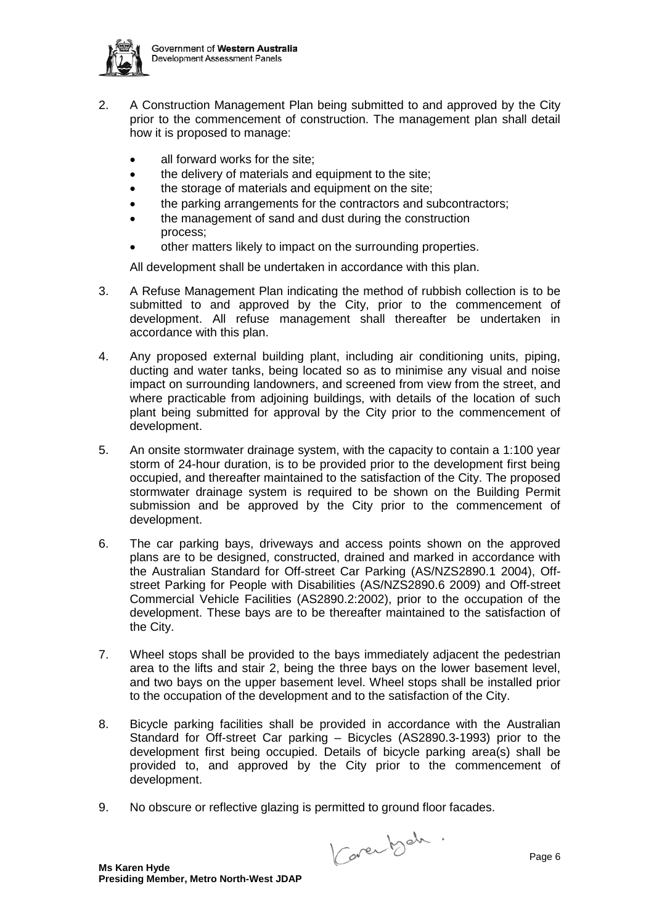

- 2. A Construction Management Plan being submitted to and approved by the City prior to the commencement of construction. The management plan shall detail how it is proposed to manage:
	- all forward works for the site:
	- the delivery of materials and equipment to the site;
	- the storage of materials and equipment on the site:
	- the parking arrangements for the contractors and subcontractors:
	- the management of sand and dust during the construction process;
	- other matters likely to impact on the surrounding properties.

All development shall be undertaken in accordance with this plan.

- 3. A Refuse Management Plan indicating the method of rubbish collection is to be submitted to and approved by the City, prior to the commencement of development. All refuse management shall thereafter be undertaken in accordance with this plan.
- 4. Any proposed external building plant, including air conditioning units, piping, ducting and water tanks, being located so as to minimise any visual and noise impact on surrounding landowners, and screened from view from the street, and where practicable from adjoining buildings, with details of the location of such plant being submitted for approval by the City prior to the commencement of development.
- 5. An onsite stormwater drainage system, with the capacity to contain a 1:100 year storm of 24-hour duration, is to be provided prior to the development first being occupied, and thereafter maintained to the satisfaction of the City. The proposed stormwater drainage system is required to be shown on the Building Permit submission and be approved by the City prior to the commencement of development.
- 6. The car parking bays, driveways and access points shown on the approved plans are to be designed, constructed, drained and marked in accordance with the Australian Standard for Off-street Car Parking (AS/NZS2890.1 2004), Offstreet Parking for People with Disabilities (AS/NZS2890.6 2009) and Off-street Commercial Vehicle Facilities (AS2890.2:2002), prior to the occupation of the development. These bays are to be thereafter maintained to the satisfaction of the City.
- 7. Wheel stops shall be provided to the bays immediately adjacent the pedestrian area to the lifts and stair 2, being the three bays on the lower basement level, and two bays on the upper basement level. Wheel stops shall be installed prior to the occupation of the development and to the satisfaction of the City.
- 8. Bicycle parking facilities shall be provided in accordance with the Australian Standard for Off-street Car parking – Bicycles (AS2890.3-1993) prior to the development first being occupied. Details of bicycle parking area(s) shall be provided to, and approved by the City prior to the commencement of development.
- 9. No obscure or reflective glazing is permitted to ground floor facades.

Caren beh .<br>Page 6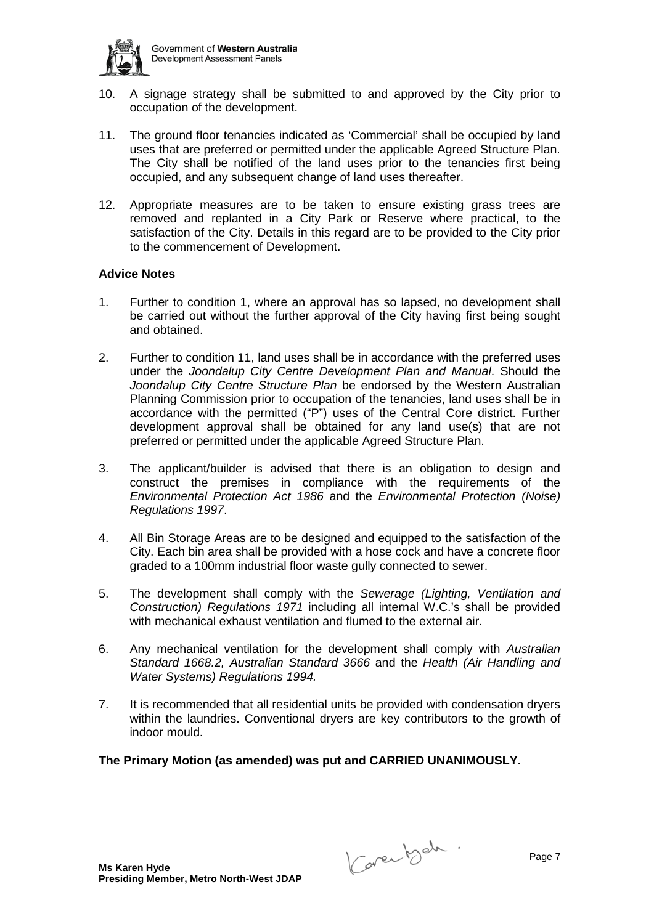

- 10. A signage strategy shall be submitted to and approved by the City prior to occupation of the development.
- 11. The ground floor tenancies indicated as 'Commercial' shall be occupied by land uses that are preferred or permitted under the applicable Agreed Structure Plan. The City shall be notified of the land uses prior to the tenancies first being occupied, and any subsequent change of land uses thereafter.
- 12. Appropriate measures are to be taken to ensure existing grass trees are removed and replanted in a City Park or Reserve where practical, to the satisfaction of the City. Details in this regard are to be provided to the City prior to the commencement of Development.

## **Advice Notes**

- 1. Further to condition 1, where an approval has so lapsed, no development shall be carried out without the further approval of the City having first being sought and obtained.
- 2. Further to condition 11, land uses shall be in accordance with the preferred uses under the *Joondalup City Centre Development Plan and Manual*. Should the *Joondalup City Centre Structure Plan* be endorsed by the Western Australian Planning Commission prior to occupation of the tenancies, land uses shall be in accordance with the permitted ("P") uses of the Central Core district. Further development approval shall be obtained for any land use(s) that are not preferred or permitted under the applicable Agreed Structure Plan.
- 3. The applicant/builder is advised that there is an obligation to design and construct the premises in compliance with the requirements of the *Environmental Protection Act 1986* and the *Environmental Protection (Noise) Regulations 1997*.
- 4. All Bin Storage Areas are to be designed and equipped to the satisfaction of the City. Each bin area shall be provided with a hose cock and have a concrete floor graded to a 100mm industrial floor waste gully connected to sewer.
- 5. The development shall comply with the *Sewerage (Lighting, Ventilation and Construction) Regulations 1971* including all internal W.C.'s shall be provided with mechanical exhaust ventilation and flumed to the external air.
- 6. Any mechanical ventilation for the development shall comply with *Australian Standard 1668.2, Australian Standard 3666* and the *Health (Air Handling and Water Systems) Regulations 1994.*
- 7. It is recommended that all residential units be provided with condensation dryers within the laundries. Conventional dryers are key contributors to the growth of indoor mould.

#### **The Primary Motion (as amended) was put and CARRIED UNANIMOUSLY.**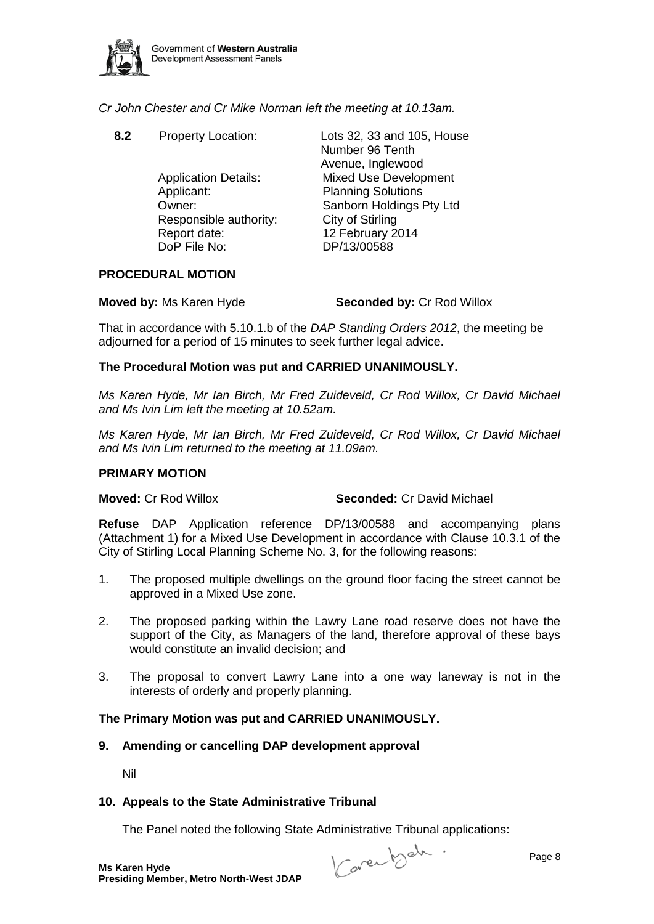

## *Cr John Chester and Cr Mike Norman left the meeting at 10.13am.*

Applicant: Planning Solutions Responsible authority: City of Stirling Report date: 12 February 2014<br>DoP File No: 12 DP/13/00588

**8.2** Property Location: Lots 32, 33 and 105, House Number 96 Tenth Avenue, Inglewood Application Details: Mixed Use Development Owner: Sanborn Holdings Pty Ltd DP/13/00588

## **PROCEDURAL MOTION**

**Moved by:** Ms Karen Hyde **Seconded by:** Cr Rod Willox

That in accordance with 5.10.1.b of the *DAP Standing Orders 2012*, the meeting be adjourned for a period of 15 minutes to seek further legal advice.

## **The Procedural Motion was put and CARRIED UNANIMOUSLY.**

*Ms Karen Hyde, Mr Ian Birch, Mr Fred Zuideveld, Cr Rod Willox, Cr David Michael and Ms Ivin Lim left the meeting at 10.52am.*

*Ms Karen Hyde, Mr Ian Birch, Mr Fred Zuideveld, Cr Rod Willox, Cr David Michael and Ms Ivin Lim returned to the meeting at 11.09am.*

#### **PRIMARY MOTION**

**Moved:** Cr Rod Willox **Seconded:** Cr David Michael

**Refuse** DAP Application reference DP/13/00588 and accompanying plans (Attachment 1) for a Mixed Use Development in accordance with Clause 10.3.1 of the City of Stirling Local Planning Scheme No. 3, for the following reasons:

- 1. The proposed multiple dwellings on the ground floor facing the street cannot be approved in a Mixed Use zone.
- 2. The proposed parking within the Lawry Lane road reserve does not have the support of the City, as Managers of the land, therefore approval of these bays would constitute an invalid decision; and
- 3. The proposal to convert Lawry Lane into a one way laneway is not in the interests of orderly and properly planning.

## **The Primary Motion was put and CARRIED UNANIMOUSLY.**

**9. Amending or cancelling DAP development approval**

Nil

## **10. Appeals to the State Administrative Tribunal**

The Panel noted the following State Administrative Tribunal applications:

Caren beh . Page 8